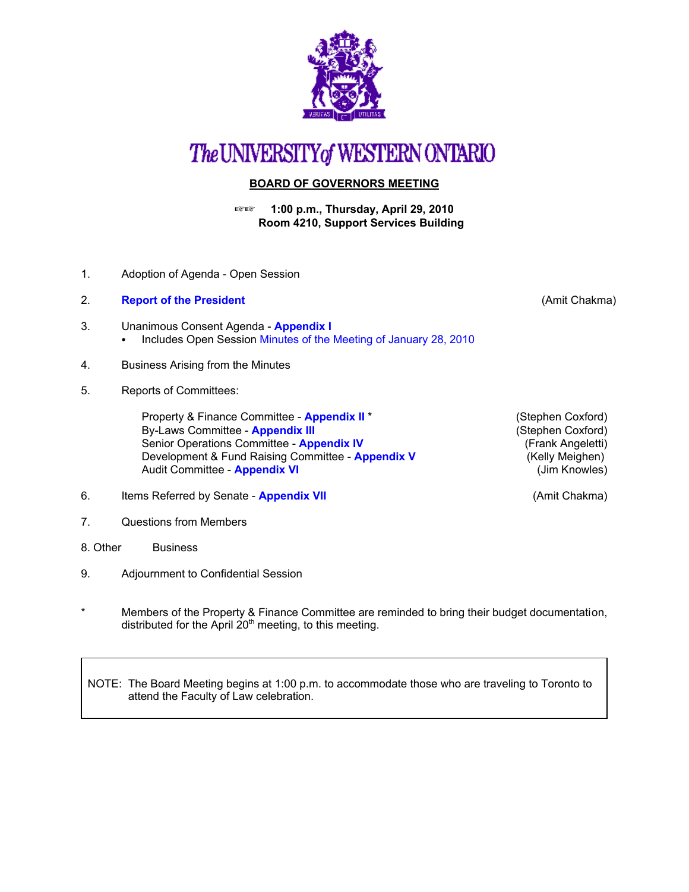

## The UNIVERSITY of WESTERN ONTARIO

## **BOARD OF GOVERNORS MEETING**

**1:00 p.m., Thursday, April 29, 2010 Room 4210, Support Services Building** 

- 1. Adoption of Agenda Open Session
- 2. **[Report of the President](http://www.uwo.ca/univsec/board/minutes/2010/r1004_ac.pdf)** (Amit Chakma)
- 3. Unanimous Consent Agenda **[Appendix I](http://www.uwo.ca/univsec/board/minutes/2010/r1004consent.pdf)**  • Includes Open Sessio[n Minutes of the Meeting of January 28, 2010](http://www.uwo.ca/univsec/board/minutes/2010/m1001bg.pdf)
- 4. Business Arising from the Minutes
- 5. Reports of Committees:

Property & Finance Committee - **[Appendix II](http://www.uwo.ca/univsec/board/minutes/2010/r1004pf.pdf)** \* (Stephen Coxford)<br>By-Laws Committee - **Appendix III** 699 (Stephen Coxford) **By-Laws Committee - [Appendix III](http://www.uwo.ca/univsec/board/minutes/2010/r1004bylaws.pdf)** Senior Operations Committee - **[Appendix IV](http://www.uwo.ca/univsec/board/minutes/2010/r1004srops.pdf)** (Frank Angeletti)<br>Development & Fund Raising Committee - **Appendix V** (Kelly Meighen) Development & Fund Raising Committee - **[Appendix V](http://www.uwo.ca/univsec/board/minutes/2010/r1004dfr.pdf)** Audit Committee - **[Appendix VI](http://www.uwo.ca/univsec/board/minutes/2010/r1004aud.pdf)** (Jim Knowles)

- 6. Items Referred by Senate **[Appendix VII](http://www.uwo.ca/univsec/board/minutes/2010/r1004sen.pdf)** (Amit Chakma)
- 7. Questions from Members
- 8. Other Business
- 9. Adjournment to Confidential Session
- Members of the Property & Finance Committee are reminded to bring their budget documentation, distributed for the April 20<sup>th</sup> meeting, to this meeting.

NOTE: The Board Meeting begins at 1:00 p.m. to accommodate those who are traveling to Toronto to attend the Faculty of Law celebration.